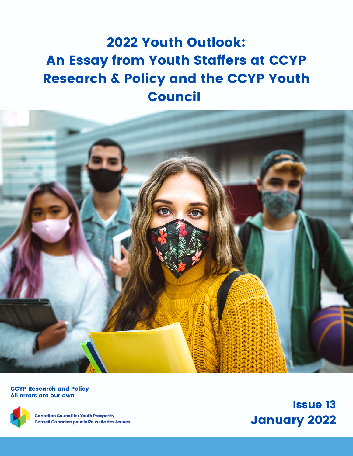# 2022 Youth Outlook: An Essay from Youth Staffers at CCYP Research & Policy and the CCYP Youth Council



CCYP Research and Policy **All errors are our own.**



**Canadian Council for Youth Prosperity** Conseil Canadien pour la Réussite des Jeunes

Issue 13 January 2022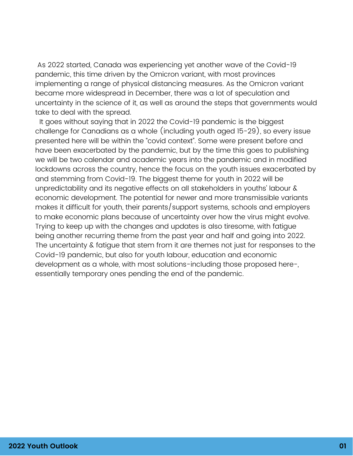As 2022 started, Canada was experiencing yet another wave of the Covid-19 pandemic, this time driven by the Omicron variant, with most provinces implementing a range of physical distancing measures. As the Omicron variant became more widespread in December, there was a lot of speculation and uncertainty in the science of it, as well as around the steps that governments would take to deal with the spread.

It goes without saying that in 2022 the Covid-19 pandemic is the biggest challenge for Canadians as a whole (including youth aged 15-29), so every issue presented here will be within the "covid context". Some were present before and have been exacerbated by the pandemic, but by the time this goes to publishing we will be two calendar and academic years into the pandemic and in modified lockdowns across the country, hence the focus on the youth issues exacerbated by and stemming from Covid-19. The biggest theme for youth in 2022 will be unpredictability and its negative effects on all stakeholders in youths' labour & economic development. The potential for newer and more transmissible variants makes it difficult for youth, their parents/support systems, schools and employers to make economic plans because of uncertainty over how the virus might evolve. Trying to keep up with the changes and updates is also tiresome, with fatigue being another recurring theme from the past year and half and going into 2022. The uncertainty & fatigue that stem from it are themes not just for responses to the Covid-19 pandemic, but also for youth labour, education and economic development as a whole, with most solutions-including those proposed here-, essentially temporary ones pending the end of the pandemic.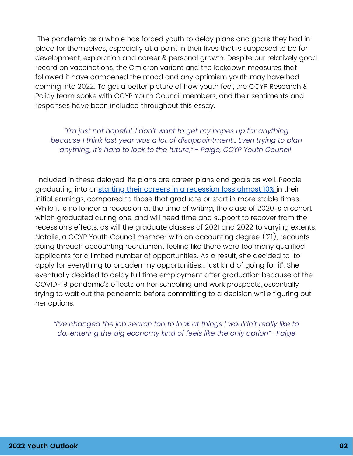The pandemic as a whole has forced youth to delay plans and goals they had in place for themselves, especially at a point in their lives that is supposed to be for development, exploration and career & personal growth. Despite our relatively good record on vaccinations, the Omicron variant and the lockdown measures that followed it have dampened the mood and any optimism youth may have had coming into 2022. To get a better picture of how youth feel, the CCYP Research & Policy team spoke with CCYP Youth Council members, and their sentiments and responses have been included throughout this essay.

*"I'm just not hopeful. I don't want to get my hopes up for anything because I think last year was a lot of disappointment… Even trying to plan anything, it's hard to look to the future," - Paige, CCYP Youth Council*

Included in these delayed life plans are career plans and goals as well. People graduating into or starting their careers in a [recession](https://www.nber.org/digest/nov06/career-effects-graduating-recession) loss almost 10% in their initial earnings, compared to those that graduate or start in more stable times. While it is no longer a recession at the time of writing, the class of 2020 is a cohort which graduated during one, and will need time and support to recover from the recession's effects, as will the graduate classes of 2021 and 2022 to varying extents. Natalie, a CCYP Youth Council member with an accounting degree ('21), recounts going through accounting recruitment feeling like there were too many qualified applicants for a limited number of opportunities. As a result, she decided to "to apply for everything to broaden my opportunities… just kind of going for it". She eventually decided to delay full time employment after graduation because of the COVID-19 pandemic's effects on her schooling and work prospects, essentially trying to wait out the pandemic before committing to a decision while figuring out her options.

*"I've changed the job search too to look at things I wouldn't really like to do…entering the gig economy kind of feels like the only option"- Paige*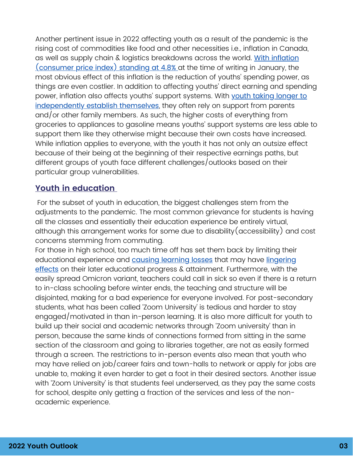Another pertinent issue in 2022 affecting youth as a result of the pandemic is the rising cost of commodities like food and other necessities i.e., inflation in Canada, as well as supply chain & logistics [breakdowns](https://www.bankofcanada.ca/rates/daily-digest/) across the world. With inflation (consumer price index) standing at 4.8% at the time of writing in January, the most obvious effect of this inflation is the reduction of youths' spending power, as things are even costlier. In addition to affecting youths' direct earning and spending power, inflation also affects youths' support systems. With youth taking longer to [independently](https://www150.statcan.gc.ca/n1/pub/11-008-x/2007004/10311-eng.htm) establish themselves, they often rely on support from parents and/or other family members. As such, the higher costs of everything from groceries to appliances to gasoline means youths' support systems are less able to support them like they otherwise might because their own costs have increased. While inflation applies to everyone, with the youth it has not only an outsize effect because of their being at the beginning of their respective earnings paths, but different groups of youth face different challenges/outlooks based on their particular group vulnerabilities.

### **Youth in education**

For the subset of youth in education, the biggest challenges stem from the adjustments to the pandemic. The most common grievance for students is having all the classes and essentially their education experience be entirely virtual, although this arrangement works for some due to disability(accessibility) and cost concerns stemming from commuting.

For those in high school, too much time off has set them back by li[mi](https://www.ncbi.nlm.nih.gov/pmc/articles/PMC8207086/)ting their e[d](https://www.mckinsey.com/industries/education/our-insights/covid-19-and-education-the-lingering-effects-of-unfinished-learning)ucational experience and causing [learning](https://www.mckinsey.com/industries/education/our-insights/covid-19-and-education-the-lingering-effects-of-unfinished-learning) losses that may have lingering effects on their later educational progress & attainment. [Furthermore,](https://www.ncbi.nlm.nih.gov/pmc/articles/PMC8207086/) with the easily spread Omicron variant, teachers could call in sick so even if there is a return to in-class schooling before winter ends, the teaching and structure will be disjointed, making for a bad experience for everyone involved. For post-secondary students, what has been called 'Zoom University' is tedious and harder to stay engaged/motivated in than in-person learning. It is also more difficult for youth to build up their social and academic networks through 'Zoom university' than in person, because the same kinds of connections formed from sitting in the same section of the classroom and going to libraries together, are not as easily formed through a screen. The restrictions to in-person events also mean that youth who may have relied on job/career fairs and town-halls to network or apply for jobs are unable to, making it even harder to get a foot in their desired sectors. Another issue with 'Zoom University' is that students feel underserved, as they pay the same costs for school, despite only getting a fraction of the services and less of the nonacademic experience.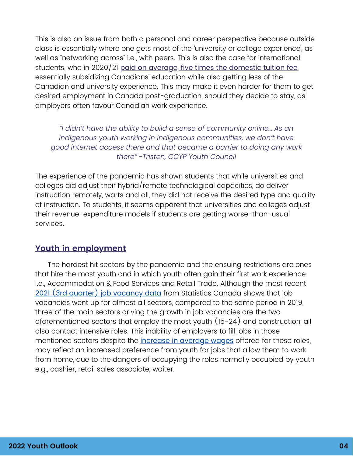This is also an issue from both a personal and career perspective because outside class is essentially where one gets most of the 'university or college experience', as well as "networking across" i.e., with peers. This is also the case for international students, who in 2020/21 paid on average, five times the [domestic](https://ccyp-ccpj.wildapricot.org/resources/Knowledge%20Centre/EN%20Snapshot%207%20International%20Students%20in%20Canada.pdf) tuition fee, essentially subsidizing Canadians' education while also getting less of the Canadian and university experience. This may make it even harder for them to get desired employment in Canada post-graduation, should they decide to stay, as employers often favour Canadian work experience.

*"I didn't have the ability to build a sense of community online… As an Indigenous youth working in Indigenous communities, we don't have good internet access there and that became a barrier to doing any work there" -Tristen, CCYP Youth Council*

The experience of the pandemic has shown students that while universities and colleges did adjust their hybrid/remote technological capacities, do deliver instruction remotely, warts and all, they did not receive the desired type and quality of instruction. To students, it seems apparent that universities and colleges adjust their revenue-expenditure models if students are getting worse-than-usual services.

### **Youth in employment**

The hardest hit sectors by the pandemic and the ensuing restrictions are ones that hire the most youth and in which youth often gain their first work experience i.e., Accommodation & Food Services and Retail Trade. Although the most recent 2021 (3rd quarter) job [vacancy](https://www150.statcan.gc.ca/n1/daily-quotidien/211220/dq211220a-eng.htm) data from Statistics Canada shows that job vacancies went up for almost all sectors, compared to the same period in 2019, three of the main sectors driving the growth in job vacancies are the two aforementioned sectors that employ the most youth (15-24) and construction, all also contact intensive roles. This inability of employers to fill jobs in those mentioned sectors despite the *[increase](https://www150.statcan.gc.ca/n1/daily-quotidien/211220/dq211220a-eng.htm) in average wages* offered for these roles, may reflect an increased preference from youth for jobs that allow them to work from home, due to the dangers of occupying the roles normally occupied by youth e.g., cashier, retail sales associate, waiter.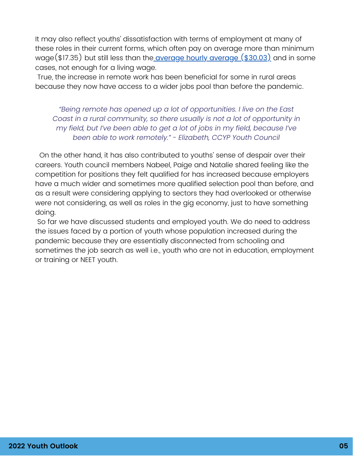It may also reflect youths' dissatisfaction with terms of employment at many of these roles in their current forms, which often pay on average more than minimum [wage\(\\$17.35\)](https://www.ontariolivingwage.ca/living_wage_by_region) but still less than the average hourly average [\(\\$30.03\)](https://www150.statcan.gc.ca/t1/tbl1/en/tv.action?pid=1410006401) and in some cases, not enough for a living wage.

True, the increase in remote work has been beneficial for some in rural areas because they now have access to a wider jobs pool than before the pandemic.

*"Being remote has opened up a lot of opportunities. I live on the East Coast in a rural community, so there usually is not a lot of opportunity in my field, but I've been able to get a lot of jobs in my field, because I've been able to work remotely." - Elizabeth, CCYP Youth Council*

On the other hand, it has also contributed to youths' sense of despair over their careers. Youth council members Nabeel, Paige and Natalie shared feeling like the competition for positions they felt qualified for has increased because employers have a much wider and sometimes more qualified selection pool than before, and as a result were considering applying to sectors they had overlooked or otherwise were not considering, as well as roles in the gig economy, just to have something doing.

So far we have discussed students and employed youth. We do need to address the issues faced by a portion of youth whose population increased during the pandemic because they are essentially disconnected from schooling and sometimes the job search as well i.e., youth who are not in education, employment or training or NEET youth.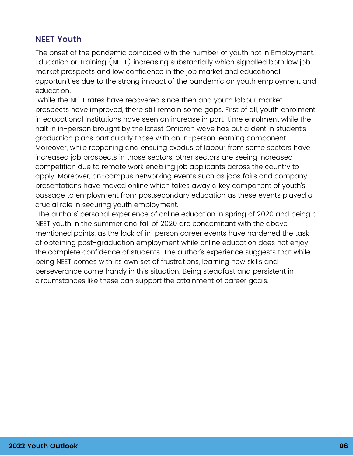#### **NEET Youth**

The onset of the pandemic coincided with the number of youth not in Employment, Education or Training (NEET) increasing substantially which signalled both low job market prospects and low confidence in the job market and educational opportunities due to the strong impact of the pandemic on youth employment and education.

While the NEET rates have recovered since then and youth labour market prospects have improved, there still remain some gaps. First of all, youth enrolment in educational institutions have seen an increase in part-time enrolment while the halt in in-person brought by the latest Omicron wave has put a dent in student's graduation plans particularly those with an in-person learning component. Moreover, while reopening and ensuing exodus of labour from some sectors have increased job prospects in those sectors, other sectors are seeing increased competition due to remote work enabling job applicants across the country to apply. Moreover, on-campus networking events such as jobs fairs and company presentations have moved online which takes away a key component of youth's passage to employment from postsecondary education as these events played a crucial role in securing youth employment.

The authors' personal experience of online education in spring of 2020 and being a NEET youth in the summer and fall of 2020 are concomitant with the above mentioned points, as the lack of in-person career events have hardened the task of obtaining post-graduation employment while online education does not enjoy the complete confidence of students. The author's experience suggests that while being NEET comes with its own set of frustrations, learning new skills and perseverance come handy in this situation. Being steadfast and persistent in circumstances like these can support the attainment of career goals.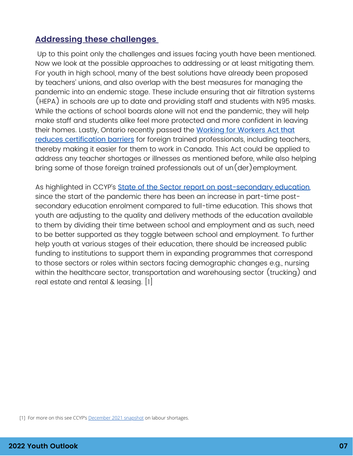## **Addressing these challenges**

Up to this point only the challenges and issues facing youth have been mentioned. Now we look at the possible approaches to addressing or at least mitigating them. For youth in high school, many of the best solutions have already been proposed by teachers' unions, and also overlap with the best measures for managing the pandemic into an endemic stage. These include ensuring that air filtration systems (HEPA) in schools are up to date and providing staff and students with N95 masks. While the actions of school boards alone will not end the pandemic, they will help make staff and students alike feel more protected and more confident in leaving their homes. Lastly, Ontario recently passed the [Work](https://news.ontario.ca/en/release/1001014/ontario-helping-newcomers-start-their-careers)ing for Workers Act that reduces certi[f](https://news.ontario.ca/en/release/1001014/ontario-helping-newcomers-start-their-careers)ication barriers for foreign trained [professionals,](https://news.ontario.ca/en/release/1001014/ontario-helping-newcomers-start-their-careers) including teachers, thereby making it easier for them to work in Canada. This Act could be applied to address any teacher shortages or illnesses as mentioned before, while also helping bring some of those foreign trained professionals out of  $un(der)$ employment.

As highlighted in CCYP's **State of the Sector report on [post-secondary](https://ccyp-ccpj.wildapricot.org/resources/Knowledge%20Centre/EN%20Youth%20in%20Post-Secondary%20Instutions.pdf) education**, since the start of the pandemic there has been an increase in part-time postsecondary education enrolment compared to full-time education. This shows that youth are adjusting to the quality and delivery methods of the education available to them by dividing their time between school and employment and as such, need to be better supported as they toggle between school and employment. To further help youth at various stages of their education, there should be increased public funding to institutions to support them in expanding programmes that correspond to those sectors or roles within sectors facing demographic changes e.g., nursing within the healthcare sector, transportation and warehousing sector (trucking) and real estate and rental & leasing. [1]

<sup>[1]</sup> For more on this see CCYP's [December 2021 snapshot](https://ccyp-ccpj.wildapricot.org/resources/Knowledge%20Centre/EN%20Snapshot%20Issue%2012.pdf) on labour shortages.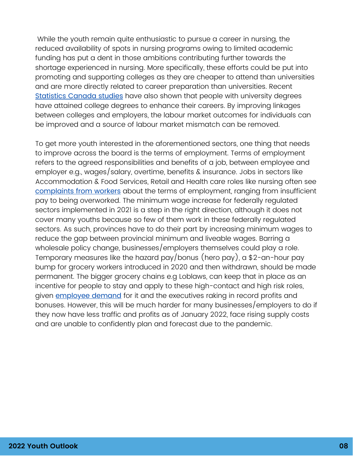While the youth remain quite enthusiastic to pursue a career in nursing, the reduced availability of spots in nursing programs owing to limited academic funding has put a dent in those ambitions contributing further towards the shortage experienced in nursing. More specifically, these efforts could be put into promoting and supporting colleges as they are cheaper to attend than universities and are more directly related to career preparation than universities. Recent [Statistics](https://www150.statcan.gc.ca/n1/pub/75-006-x/2021001/article/00001-eng.htm) Canada studies have also shown that people with university degrees have attained college degrees to enhance their careers. By improving linkages between colleges and employers, the labour market outcomes for individuals can be improved and a source of labour market mismatch can be removed.

To get more youth interested in the aforementioned sectors, one thing that needs to improve across the board is the terms of employment. Terms of employment refers to the agreed responsibilities and benefits of a job, between employee and employer e.g., wages/salary, overtime, benefits & insurance. Jobs in sectors like Accommodation & Food Services, Retail and Health care roles like nursing often see [complaints](https://www.thestar.com/business/2022/01/22/more-than-200000-restaurant-workers-left-the-industry-during-the-pandemic-heres-where-they-went-why-they-left-and-why-they-arent-looking-back.html) from workers about the terms of employment, ranging from insufficient pay to being overworked. The minimum wage increase for federally regulated sectors implemented in 2021 is a step in the right direction, although it does not cover many youths because so few of them work in these federally regulated sectors. As such, provinces have to do their part by increasing minimum wages to reduce the gap between provincial minimum and liveable wages. Barring a wholesale policy change, businesses/employers themselves could play a role. Temporary measures like the hazard pay/bonus (hero pay), a \$2-an-hour pay bump for grocery workers introduced in 2020 and then withdrawn, should be made permanent. The bigger grocery chains e.g Loblaws, can keep that in place as an incentive for people to stay and apply to these high-contact and high risk roles, given **[employee](https://www.cbc.ca/news/business/grocers-hero-pay-unifor-1.6307698) demand** [for](https://www.cbc.ca/news/business/grocers-hero-pay-unifor-1.6307698) it and the executives raking in record profits and bonuses. However, this will be much harder for many businesses/employers to do if they now have less traffic and profits as of January 2022, face rising supply costs and are unable to confidently plan and forecast due to the pandemic.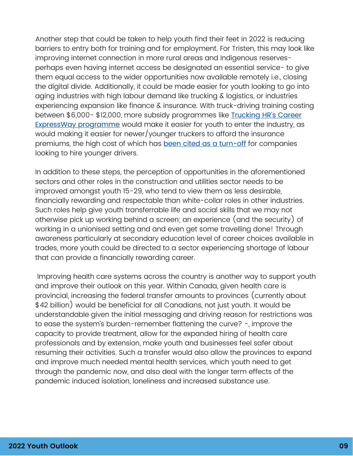Another step that could be taken to help youth find their feet in 2022 is reducing barriers to entry both for training and for employment. For Tristen, this may look like improving internet connection in more rural areas and Indigenous reservesperhaps even having internet access be designated an essential service- to give them equal access to the wider opportunities now available remotely i.e., closing the digital divide. Additionally, it could be made easier for youth looking to go into aging industries with high labour demand like trucking & logistics, or industries experiencing expansion like finance & insurance. With truck-driving training costing between \$6,000- \$12,000, more subsidy [programmes](https://truckinghr.com/careerexpressway/#:~:text=Our%20program%20identifies%2C%20prepares%2C%20trains,driver%20training%20(training%20subsidy).) like Trucking HR's Career ExpressWay programme would make it easier for youth to enter the industry, as would making it easier for newer/younger truckers to afford the insurance premiums, the high cost of which has been cited as a [turn-off](https://www.theglobeandmail.com/business/article-low-wages-barriers-to-entry-behind-labour-shortage-in-key-trucking/) for companies looking to hire younger drivers.

In addition to these steps, the perception of opportunities in the aforementioned sectors and other roles in the construction and utilities sector needs to be improved amongst youth 15-29, who tend to view them as less desirable, financially rewarding and respectable than white-collar roles in other industries. Such roles help give youth transferrable life and social skills that we may not otherwise pick up working behind a screen; an experience (and the security) of working in a unionised setting and and even get some travelling done! Through awareness particularly at secondary education level of career choices available in trades, more youth could be directed to a sector experiencing shortage of labour that can provide a financially rewarding career.

Improving health care systems across the country is another way to support youth and improve their outlook on this year. Within Canada, given health care is provincial, increasing the federal transfer amounts to provinces (currently about \$42 billion) would be beneficial for all Canadians, not just youth. It would be understandable given the initial messaging and driving reason for restrictions was to ease the system's burden-remember flattening the curve? -, improve the capacity to provide treatment, allow for the expanded hiring of health care professionals and by extension, make youth and businesses feel safer about resuming their activities. Such a transfer would also allow the provinces to expand and improve much needed mental health services, which youth need to get through the pandemic now, and also deal with the longer term effects of the pandemic induced isolation, loneliness and increased substance use.